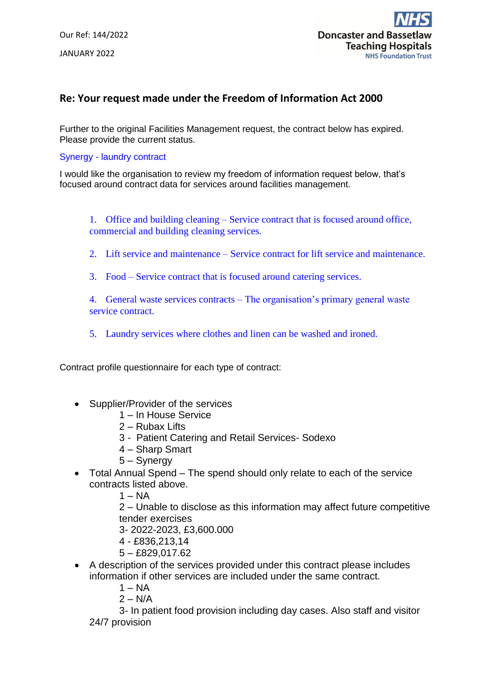## **Re: Your request made under the Freedom of Information Act 2000**

Further to the original Facilities Management request, the contract below has expired. Please provide the current status.

## Synergy - laundry contract

I would like the organisation to review my freedom of information request below, that's focused around contract data for services around facilities management.

1. Office and building cleaning – Service contract that is focused around office, commercial and building cleaning services.

- 2. Lift service and maintenance Service contract for lift service and maintenance.
- 3. Food Service contract that is focused around catering services.

4. General waste services contracts – The organisation's primary general waste service contract.

5. Laundry services where clothes and linen can be washed and ironed.

Contract profile questionnaire for each type of contract:

- Supplier/Provider of the services
	- 1 In House Service
	- 2 Rubax Lifts
	- 3 Patient Catering and Retail Services- Sodexo
	- 4 Sharp Smart
	- 5 Synergy
- Total Annual Spend The spend should only relate to each of the service contracts listed above.
	- $1 NA$

2 – Unable to disclose as this information may affect future competitive tender exercises

3- 2022-2023, £3,600.000

- 4 £836,213,14
- 5 £829,017.62
- A description of the services provided under this contract please includes information if other services are included under the same contract.
	- $1 NA$
	- $2 N/A$

3- In patient food provision including day cases. Also staff and visitor 24/7 provision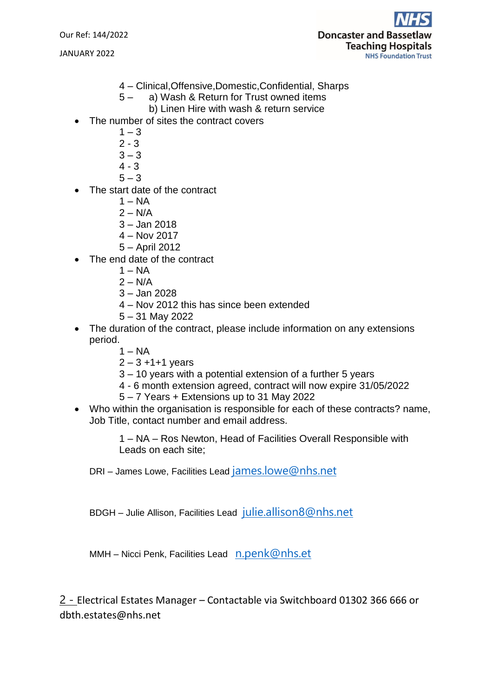Our Ref: 144/2022

JANUARY 2022



- 4 Clinical,Offensive,Domestic,Confidential, Sharps
- 5 a) Wash & Return for Trust owned items
	- b) Linen Hire with wash & return service
- The number of sites the contract covers
	- $1 3$
	- $2 3$
	- $3 3$
	- 4 3
	- $5 3$
- The start date of the contract
	- $1 NA$
	- $2 N/A$
	- 3 Jan 2018
	- 4 Nov 2017
	- 5 April 2012
- The end date of the contract
	- $1 NA$
	- $2 N/A$
	- 3 Jan 2028
	- 4 Nov 2012 this has since been extended
	- 5 31 May 2022
- The duration of the contract, please include information on any extensions period.
	- $1 NA$
	- $2 3 + 1 + 1$  years
	- 3 10 years with a potential extension of a further 5 years
	- 4 6 month extension agreed, contract will now expire 31/05/2022
	- 5 7 Years + Extensions up to 31 May 2022
- Who within the organisation is responsible for each of these contracts? name, Job Title, contact number and email address.

1 – NA – Ros Newton, Head of Facilities Overall Responsible with Leads on each site;

DRI – James Lowe, Facilities Lead [james.lowe@nhs.net](mailto:james.lowe@nhs.net)

BDGH – Julie Allison, Facilities Lead [julie.allison8@nhs.net](mailto:julie.allison8@nhs.net)

MMH – Nicci Penk, Facilities Lead [n.penk@nhs.et](mailto:n.penk@nhs.et)

2 - Electrical Estates Manager – Contactable via Switchboard 01302 366 666 or dbth.estates@nhs.net